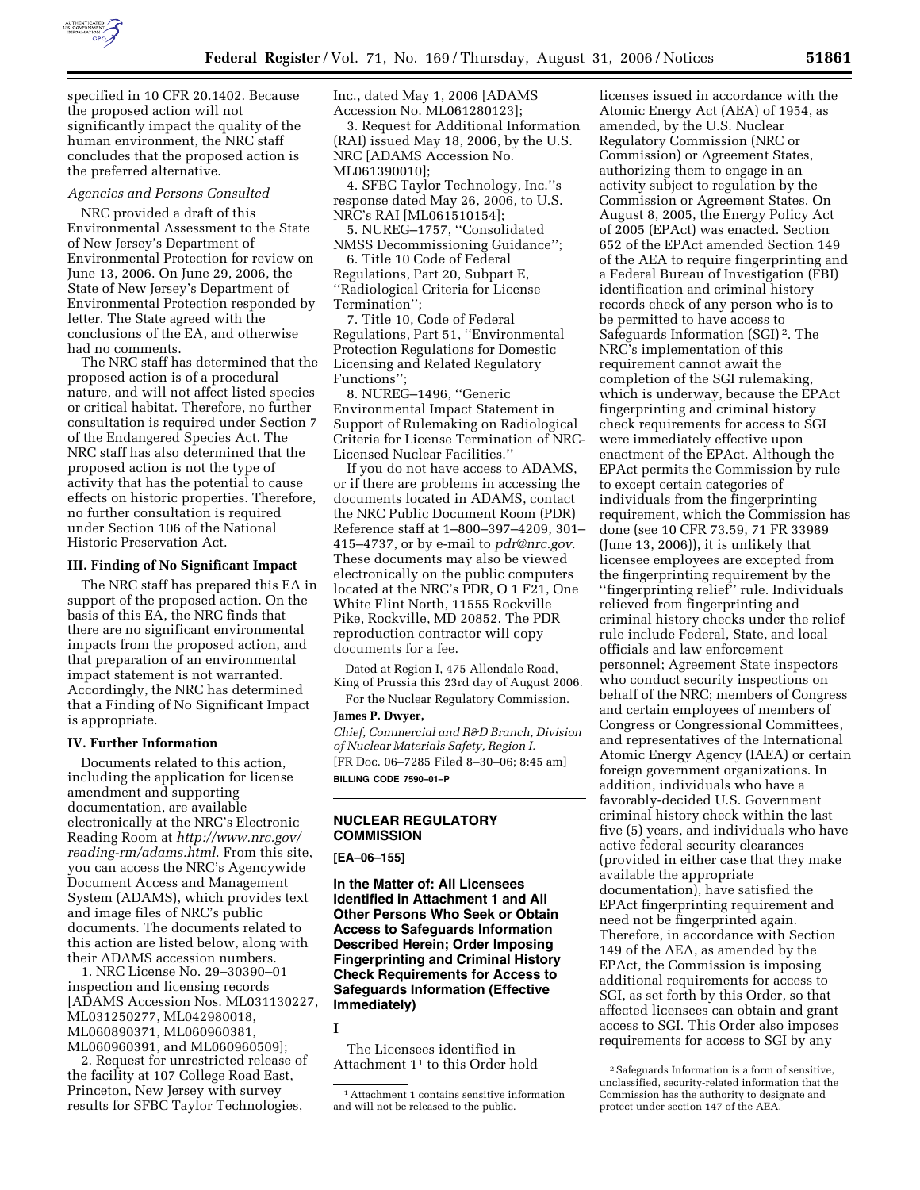

specified in 10 CFR 20.1402. Because the proposed action will not significantly impact the quality of the human environment, the NRC staff concludes that the proposed action is the preferred alternative.

### *Agencies and Persons Consulted*

NRC provided a draft of this Environmental Assessment to the State of New Jersey's Department of Environmental Protection for review on June 13, 2006. On June 29, 2006, the State of New Jersey's Department of Environmental Protection responded by letter. The State agreed with the conclusions of the EA, and otherwise had no comments.

The NRC staff has determined that the proposed action is of a procedural nature, and will not affect listed species or critical habitat. Therefore, no further consultation is required under Section 7 of the Endangered Species Act. The NRC staff has also determined that the proposed action is not the type of activity that has the potential to cause effects on historic properties. Therefore, no further consultation is required under Section 106 of the National Historic Preservation Act.

#### **III. Finding of No Significant Impact**

The NRC staff has prepared this EA in support of the proposed action. On the basis of this EA, the NRC finds that there are no significant environmental impacts from the proposed action, and that preparation of an environmental impact statement is not warranted. Accordingly, the NRC has determined that a Finding of No Significant Impact is appropriate.

## **IV. Further Information**

Documents related to this action, including the application for license amendment and supporting documentation, are available electronically at the NRC's Electronic Reading Room at *http://www.nrc.gov/ reading-rm/adams.html*. From this site, you can access the NRC's Agencywide Document Access and Management System (ADAMS), which provides text and image files of NRC's public documents. The documents related to this action are listed below, along with their ADAMS accession numbers.

1. NRC License No. 29–30390–01 inspection and licensing records [ADAMS Accession Nos. ML031130227, ML031250277, ML042980018, ML060890371, ML060960381, ML060960391, and ML060960509];

2. Request for unrestricted release of the facility at 107 College Road East, Princeton, New Jersey with survey results for SFBC Taylor Technologies,

Inc., dated May 1, 2006 [ADAMS Accession No. ML061280123];

3. Request for Additional Information (RAI) issued May 18, 2006, by the U.S. NRC [ADAMS Accession No. ML061390010];

4. SFBC Taylor Technology, Inc.''s response dated May 26, 2006, to U.S. NRC's RAI [ML061510154];

5. NUREG–1757, ''Consolidated NMSS Decommissioning Guidance'';

6. Title 10 Code of Federal Regulations, Part 20, Subpart E, ''Radiological Criteria for License Termination'';

7. Title 10, Code of Federal Regulations, Part 51, ''Environmental Protection Regulations for Domestic Licensing and Related Regulatory Functions'';

8. NUREG–1496, ''Generic Environmental Impact Statement in Support of Rulemaking on Radiological Criteria for License Termination of NRC-Licensed Nuclear Facilities.''

If you do not have access to ADAMS, or if there are problems in accessing the documents located in ADAMS, contact the NRC Public Document Room (PDR) Reference staff at 1–800–397–4209, 301– 415–4737, or by e-mail to *pdr@nrc.gov*. These documents may also be viewed electronically on the public computers located at the NRC's PDR, O 1 F21, One White Flint North, 11555 Rockville Pike, Rockville, MD 20852. The PDR reproduction contractor will copy documents for a fee.

Dated at Region I, 475 Allendale Road, King of Prussia this 23rd day of August 2006.

For the Nuclear Regulatory Commission. **James P. Dwyer,** 

*Chief, Commercial and R&D Branch, Division of Nuclear Materials Safety, Region I.*  [FR Doc. 06–7285 Filed 8–30–06; 8:45 am] **BILLING CODE 7590–01–P** 

# **NUCLEAR REGULATORY COMMISSION**

**[EA–06–155]** 

**In the Matter of: All Licensees Identified in Attachment 1 and All Other Persons Who Seek or Obtain Access to Safeguards Information Described Herein; Order Imposing Fingerprinting and Criminal History Check Requirements for Access to Safeguards Information (Effective Immediately)** 

### **I**

The Licensees identified in Attachment 11 to this Order hold

licenses issued in accordance with the Atomic Energy Act (AEA) of 1954, as amended, by the U.S. Nuclear Regulatory Commission (NRC or Commission) or Agreement States, authorizing them to engage in an activity subject to regulation by the Commission or Agreement States. On August 8, 2005, the Energy Policy Act of 2005 (EPAct) was enacted. Section 652 of the EPAct amended Section 149 of the AEA to require fingerprinting and a Federal Bureau of Investigation (FBI) identification and criminal history records check of any person who is to be permitted to have access to Safeguards Information (SGI) 2. The NRC's implementation of this requirement cannot await the completion of the SGI rulemaking, which is underway, because the EPAct fingerprinting and criminal history check requirements for access to SGI were immediately effective upon enactment of the EPAct. Although the EPAct permits the Commission by rule to except certain categories of individuals from the fingerprinting requirement, which the Commission has done (see 10 CFR 73.59, 71 FR 33989 (June 13, 2006)), it is unlikely that licensee employees are excepted from the fingerprinting requirement by the ''fingerprinting relief'' rule. Individuals relieved from fingerprinting and criminal history checks under the relief rule include Federal, State, and local officials and law enforcement personnel; Agreement State inspectors who conduct security inspections on behalf of the NRC; members of Congress and certain employees of members of Congress or Congressional Committees, and representatives of the International Atomic Energy Agency (IAEA) or certain foreign government organizations. In addition, individuals who have a favorably-decided U.S. Government criminal history check within the last five (5) years, and individuals who have active federal security clearances (provided in either case that they make available the appropriate documentation), have satisfied the EPAct fingerprinting requirement and need not be fingerprinted again. Therefore, in accordance with Section 149 of the AEA, as amended by the EPAct, the Commission is imposing additional requirements for access to SGI, as set forth by this Order, so that affected licensees can obtain and grant access to SGI. This Order also imposes requirements for access to SGI by any

<sup>1</sup>Attachment 1 contains sensitive information and will not be released to the public.

<sup>2</sup>Safeguards Information is a form of sensitive, unclassified, security-related information that the Commission has the authority to designate and protect under section 147 of the AEA.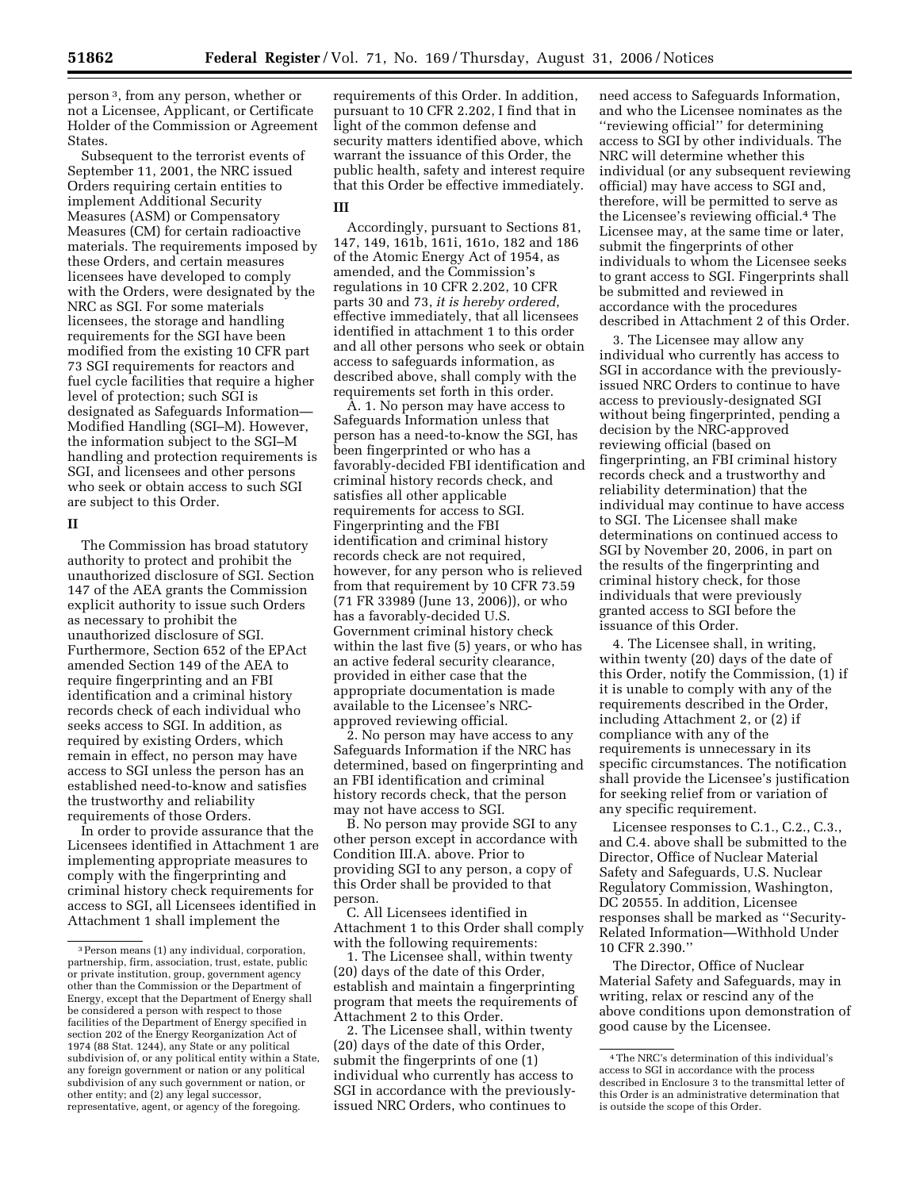person 3, from any person, whether or not a Licensee, Applicant, or Certificate Holder of the Commission or Agreement States.

Subsequent to the terrorist events of September 11, 2001, the NRC issued Orders requiring certain entities to implement Additional Security Measures (ASM) or Compensatory Measures (CM) for certain radioactive materials. The requirements imposed by these Orders, and certain measures licensees have developed to comply with the Orders, were designated by the NRC as SGI. For some materials licensees, the storage and handling requirements for the SGI have been modified from the existing 10 CFR part 73 SGI requirements for reactors and fuel cycle facilities that require a higher level of protection; such SGI is designated as Safeguards Information— Modified Handling (SGI–M). However, the information subject to the SGI–M handling and protection requirements is SGI, and licensees and other persons who seek or obtain access to such SGI are subject to this Order.

### **II**

The Commission has broad statutory authority to protect and prohibit the unauthorized disclosure of SGI. Section 147 of the AEA grants the Commission explicit authority to issue such Orders as necessary to prohibit the unauthorized disclosure of SGI. Furthermore, Section 652 of the EPAct amended Section 149 of the AEA to require fingerprinting and an FBI identification and a criminal history records check of each individual who seeks access to SGI. In addition, as required by existing Orders, which remain in effect, no person may have access to SGI unless the person has an established need-to-know and satisfies the trustworthy and reliability requirements of those Orders.

In order to provide assurance that the Licensees identified in Attachment 1 are implementing appropriate measures to comply with the fingerprinting and criminal history check requirements for access to SGI, all Licensees identified in Attachment 1 shall implement the

requirements of this Order. In addition, pursuant to 10 CFR 2.202, I find that in light of the common defense and security matters identified above, which warrant the issuance of this Order, the public health, safety and interest require that this Order be effective immediately.

#### **III**

Accordingly, pursuant to Sections 81, 147, 149, 161b, 161i, 161o, 182 and 186 of the Atomic Energy Act of 1954, as amended, and the Commission's regulations in 10 CFR 2.202, 10 CFR parts 30 and 73, *it is hereby ordered*, effective immediately, that all licensees identified in attachment 1 to this order and all other persons who seek or obtain access to safeguards information, as described above, shall comply with the requirements set forth in this order.

A. 1. No person may have access to Safeguards Information unless that person has a need-to-know the SGI, has been fingerprinted or who has a favorably-decided FBI identification and criminal history records check, and satisfies all other applicable requirements for access to SGI. Fingerprinting and the FBI identification and criminal history records check are not required, however, for any person who is relieved from that requirement by 10 CFR 73.59 (71 FR 33989 (June 13, 2006)), or who has a favorably-decided U.S. Government criminal history check within the last five (5) years, or who has an active federal security clearance, provided in either case that the appropriate documentation is made available to the Licensee's NRCapproved reviewing official.

2. No person may have access to any Safeguards Information if the NRC has determined, based on fingerprinting and an FBI identification and criminal history records check, that the person may not have access to SGI.

B. No person may provide SGI to any other person except in accordance with Condition III.A. above. Prior to providing SGI to any person, a copy of this Order shall be provided to that person.

C. All Licensees identified in Attachment 1 to this Order shall comply with the following requirements:

1. The Licensee shall, within twenty (20) days of the date of this Order, establish and maintain a fingerprinting program that meets the requirements of Attachment 2 to this Order.

2. The Licensee shall, within twenty (20) days of the date of this Order, submit the fingerprints of one (1) individual who currently has access to SGI in accordance with the previouslyissued NRC Orders, who continues to

need access to Safeguards Information, and who the Licensee nominates as the ''reviewing official'' for determining access to SGI by other individuals. The NRC will determine whether this individual (or any subsequent reviewing official) may have access to SGI and, therefore, will be permitted to serve as the Licensee's reviewing official.4 The Licensee may, at the same time or later, submit the fingerprints of other individuals to whom the Licensee seeks to grant access to SGI. Fingerprints shall be submitted and reviewed in accordance with the procedures described in Attachment 2 of this Order.

3. The Licensee may allow any individual who currently has access to SGI in accordance with the previouslyissued NRC Orders to continue to have access to previously-designated SGI without being fingerprinted, pending a decision by the NRC-approved reviewing official (based on fingerprinting, an FBI criminal history records check and a trustworthy and reliability determination) that the individual may continue to have access to SGI. The Licensee shall make determinations on continued access to SGI by November 20, 2006, in part on the results of the fingerprinting and criminal history check, for those individuals that were previously granted access to SGI before the issuance of this Order.

4. The Licensee shall, in writing, within twenty (20) days of the date of this Order, notify the Commission, (1) if it is unable to comply with any of the requirements described in the Order, including Attachment 2, or (2) if compliance with any of the requirements is unnecessary in its specific circumstances. The notification shall provide the Licensee's justification for seeking relief from or variation of any specific requirement.

Licensee responses to C.1., C.2., C.3., and C.4. above shall be submitted to the Director, Office of Nuclear Material Safety and Safeguards, U.S. Nuclear Regulatory Commission, Washington, DC 20555. In addition, Licensee responses shall be marked as ''Security-Related Information—Withhold Under 10 CFR 2.390.''

The Director, Office of Nuclear Material Safety and Safeguards, may in writing, relax or rescind any of the above conditions upon demonstration of good cause by the Licensee.

<sup>3</sup>Person means (1) any individual, corporation, partnership, firm, association, trust, estate, public or private institution, group, government agency other than the Commission or the Department of Energy, except that the Department of Energy shall be considered a person with respect to those facilities of the Department of Energy specified in section 202 of the Energy Reorganization Act of 1974 (88 Stat. 1244), any State or any political subdivision of, or any political entity within a State, any foreign government or nation or any political subdivision of any such government or nation, or other entity; and (2) any legal successor, representative, agent, or agency of the foregoing.

<sup>4</sup>The NRC's determination of this individual's access to SGI in accordance with the process described in Enclosure 3 to the transmittal letter of this Order is an administrative determination that is outside the scope of this Order.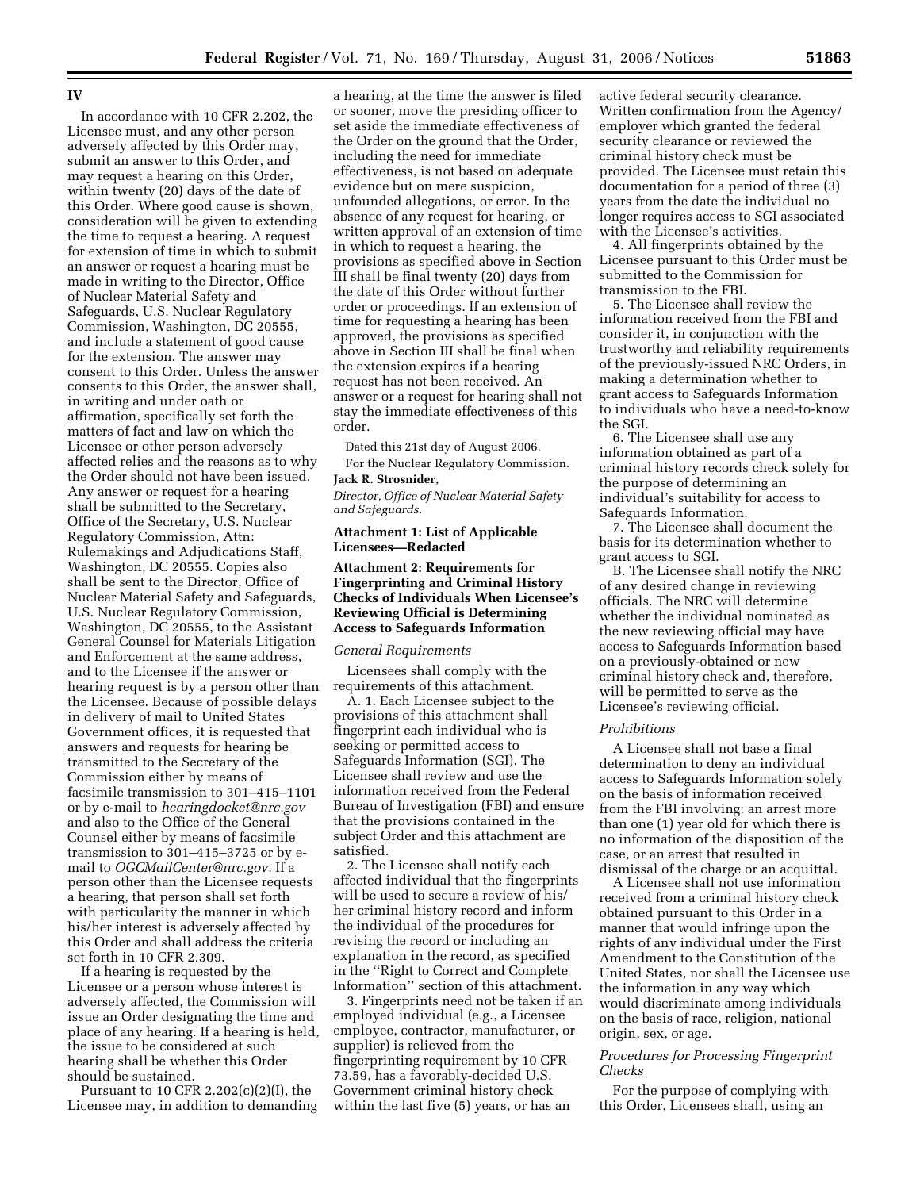## **IV**

In accordance with 10 CFR 2.202, the Licensee must, and any other person adversely affected by this Order may, submit an answer to this Order, and may request a hearing on this Order, within twenty (20) days of the date of this Order. Where good cause is shown, consideration will be given to extending the time to request a hearing. A request for extension of time in which to submit an answer or request a hearing must be made in writing to the Director, Office of Nuclear Material Safety and Safeguards, U.S. Nuclear Regulatory Commission, Washington, DC 20555, and include a statement of good cause for the extension. The answer may consent to this Order. Unless the answer consents to this Order, the answer shall, in writing and under oath or affirmation, specifically set forth the matters of fact and law on which the Licensee or other person adversely affected relies and the reasons as to why the Order should not have been issued. Any answer or request for a hearing shall be submitted to the Secretary, Office of the Secretary, U.S. Nuclear Regulatory Commission, Attn: Rulemakings and Adjudications Staff, Washington, DC 20555. Copies also shall be sent to the Director, Office of Nuclear Material Safety and Safeguards, U.S. Nuclear Regulatory Commission, Washington, DC 20555, to the Assistant General Counsel for Materials Litigation and Enforcement at the same address, and to the Licensee if the answer or hearing request is by a person other than the Licensee. Because of possible delays in delivery of mail to United States Government offices, it is requested that answers and requests for hearing be transmitted to the Secretary of the Commission either by means of facsimile transmission to 301–415–1101 or by e-mail to *hearingdocket@nrc.gov*  and also to the Office of the General Counsel either by means of facsimile transmission to 301–415–3725 or by email to *OGCMailCenter@nrc.gov.* If a person other than the Licensee requests a hearing, that person shall set forth with particularity the manner in which his/her interest is adversely affected by this Order and shall address the criteria set forth in 10 CFR 2.309.

If a hearing is requested by the Licensee or a person whose interest is adversely affected, the Commission will issue an Order designating the time and place of any hearing. If a hearing is held, the issue to be considered at such hearing shall be whether this Order should be sustained.

Pursuant to 10 CFR 2.202(c)(2)(I), the Licensee may, in addition to demanding

a hearing, at the time the answer is filed or sooner, move the presiding officer to set aside the immediate effectiveness of the Order on the ground that the Order, including the need for immediate effectiveness, is not based on adequate evidence but on mere suspicion, unfounded allegations, or error. In the absence of any request for hearing, or written approval of an extension of time in which to request a hearing, the provisions as specified above in Section III shall be final twenty (20) days from the date of this Order without further order or proceedings. If an extension of time for requesting a hearing has been approved, the provisions as specified above in Section III shall be final when the extension expires if a hearing request has not been received. An answer or a request for hearing shall not stay the immediate effectiveness of this order.

Dated this 21st day of August 2006.

For the Nuclear Regulatory Commission. **Jack R. Strosnider,** 

*Director, Office of Nuclear Material Safety and Safeguards.* 

### **Attachment 1: List of Applicable Licensees—Redacted**

# **Attachment 2: Requirements for Fingerprinting and Criminal History Checks of Individuals When Licensee's Reviewing Official is Determining Access to Safeguards Information**

## *General Requirements*

Licensees shall comply with the requirements of this attachment.

A. 1. Each Licensee subject to the provisions of this attachment shall fingerprint each individual who is seeking or permitted access to Safeguards Information (SGI). The Licensee shall review and use the information received from the Federal Bureau of Investigation (FBI) and ensure that the provisions contained in the subject Order and this attachment are satisfied.

2. The Licensee shall notify each affected individual that the fingerprints will be used to secure a review of his/ her criminal history record and inform the individual of the procedures for revising the record or including an explanation in the record, as specified in the ''Right to Correct and Complete Information'' section of this attachment.

3. Fingerprints need not be taken if an employed individual (e.g., a Licensee employee, contractor, manufacturer, or supplier) is relieved from the fingerprinting requirement by 10 CFR 73.59, has a favorably-decided U.S. Government criminal history check within the last five (5) years, or has an

active federal security clearance. Written confirmation from the Agency/ employer which granted the federal security clearance or reviewed the criminal history check must be provided. The Licensee must retain this documentation for a period of three (3) years from the date the individual no longer requires access to SGI associated with the Licensee's activities.

4. All fingerprints obtained by the Licensee pursuant to this Order must be submitted to the Commission for transmission to the FBI.

5. The Licensee shall review the information received from the FBI and consider it, in conjunction with the trustworthy and reliability requirements of the previously-issued NRC Orders, in making a determination whether to grant access to Safeguards Information to individuals who have a need-to-know the SGI.

6. The Licensee shall use any information obtained as part of a criminal history records check solely for the purpose of determining an individual's suitability for access to Safeguards Information.

7. The Licensee shall document the basis for its determination whether to grant access to SGI.

B. The Licensee shall notify the NRC of any desired change in reviewing officials. The NRC will determine whether the individual nominated as the new reviewing official may have access to Safeguards Information based on a previously-obtained or new criminal history check and, therefore, will be permitted to serve as the Licensee's reviewing official.

### *Prohibitions*

A Licensee shall not base a final determination to deny an individual access to Safeguards Information solely on the basis of information received from the FBI involving: an arrest more than one (1) year old for which there is no information of the disposition of the case, or an arrest that resulted in dismissal of the charge or an acquittal.

A Licensee shall not use information received from a criminal history check obtained pursuant to this Order in a manner that would infringe upon the rights of any individual under the First Amendment to the Constitution of the United States, nor shall the Licensee use the information in any way which would discriminate among individuals on the basis of race, religion, national origin, sex, or age.

# *Procedures for Processing Fingerprint Checks*

For the purpose of complying with this Order, Licensees shall, using an